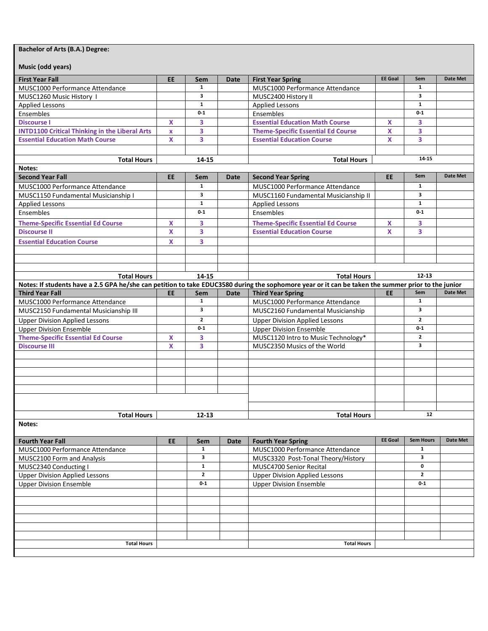## **Bachelor of Arts (B.A.) Degree:**

**Music (odd years)**

| iviusic (odd years)                                                                                                                                |                           |                     |                             |                                                                      |                |                         |                 |
|----------------------------------------------------------------------------------------------------------------------------------------------------|---------------------------|---------------------|-----------------------------|----------------------------------------------------------------------|----------------|-------------------------|-----------------|
| <b>First Year Fall</b>                                                                                                                             | <b>EE</b>                 | Sem                 | Date                        | <b>First Year Spring</b>                                             | <b>EE Goal</b> | Sem                     | <b>Date Met</b> |
| MUSC1000 Performance Attendance                                                                                                                    |                           | $\mathbf{1}$        |                             | MUSC1000 Performance Attendance                                      |                | $\mathbf{1}$            |                 |
| MUSC1260 Music History 1                                                                                                                           |                           | 3                   |                             | MUSC2400 History II                                                  |                | 3                       |                 |
| <b>Applied Lessons</b>                                                                                                                             |                           | $\mathbf{1}$        |                             | <b>Applied Lessons</b>                                               |                | $\mathbf{1}$            |                 |
| Ensembles                                                                                                                                          |                           | $0-1$               |                             | Ensembles                                                            |                | $0 - 1$                 |                 |
| <b>Discourse I</b>                                                                                                                                 | $\boldsymbol{\mathsf{x}}$ | 3                   |                             | <b>Essential Education Math Course</b>                               | X              | 3                       |                 |
| <b>INTD1100 Critical Thinking in the Liberal Arts</b>                                                                                              | $\mathbf{x}$              | 3                   |                             | <b>Theme-Specific Essential Ed Course</b>                            | X              | 3                       |                 |
| <b>Essential Education Math Course</b>                                                                                                             | X                         | 3                   |                             | <b>Essential Education Course</b>                                    | X              | 3                       |                 |
|                                                                                                                                                    |                           |                     |                             |                                                                      |                |                         |                 |
| <b>Total Hours</b><br>14-15                                                                                                                        |                           |                     | 14-15<br><b>Total Hours</b> |                                                                      |                |                         |                 |
| Notes:                                                                                                                                             |                           |                     |                             |                                                                      |                |                         |                 |
| <b>Second Year Fall</b>                                                                                                                            | <b>EE</b>                 | Sem                 | Date                        | <b>Second Year Spring</b>                                            | <b>EE</b>      | Sem                     | <b>Date Met</b> |
| MUSC1000 Performance Attendance                                                                                                                    |                           | $\mathbf{1}$        |                             | MUSC1000 Performance Attendance                                      |                | $\mathbf{1}$            |                 |
| MUSC1150 Fundamental Musicianship I                                                                                                                |                           | 3                   |                             | MUSC1160 Fundamental Musicianship II                                 |                | $\overline{\mathbf{3}}$ |                 |
| <b>Applied Lessons</b>                                                                                                                             |                           | $\mathbf{1}$        |                             | <b>Applied Lessons</b>                                               |                | $\mathbf{1}$            |                 |
| Ensembles                                                                                                                                          |                           | $0-1$               |                             | Ensembles                                                            |                | $0 - 1$                 |                 |
| <b>Theme-Specific Essential Ed Course</b>                                                                                                          |                           |                     |                             | <b>Theme-Specific Essential Ed Course</b>                            |                |                         |                 |
|                                                                                                                                                    | X                         | 3                   |                             |                                                                      | X              | 3                       |                 |
| <b>Discourse II</b>                                                                                                                                | X                         | 3                   |                             | <b>Essential Education Course</b>                                    | <b>X</b>       | 3                       |                 |
| <b>Essential Education Course</b>                                                                                                                  | X                         | 3                   |                             |                                                                      |                |                         |                 |
|                                                                                                                                                    |                           |                     |                             |                                                                      |                |                         |                 |
|                                                                                                                                                    |                           |                     |                             |                                                                      |                |                         |                 |
|                                                                                                                                                    |                           |                     |                             |                                                                      |                |                         |                 |
| <b>Total Hours</b><br>14-15                                                                                                                        |                           |                     |                             | $12 - 13$<br><b>Total Hours</b>                                      |                |                         |                 |
| Notes: If students have a 2.5 GPA he/she can petition to take EDUC3580 during the sophomore year or it can be taken the summer prior to the junior |                           |                     |                             |                                                                      |                | Sem                     | <b>Date Met</b> |
| <b>Third Year Fall</b>                                                                                                                             | EE                        | Sem<br>$\mathbf{1}$ | Date                        | <b>Third Year Spring</b>                                             | EE             | 1                       |                 |
| MUSC1000 Performance Attendance                                                                                                                    |                           | 3                   |                             | MUSC1000 Performance Attendance<br>MUSC2160 Fundamental Musicianship |                | 3                       |                 |
| MUSC2150 Fundamental Musicianship III                                                                                                              |                           |                     |                             |                                                                      |                |                         |                 |
| <b>Upper Division Applied Lessons</b>                                                                                                              |                           | $\mathbf{z}$        |                             | <b>Upper Division Applied Lessons</b>                                |                | $\overline{2}$          |                 |
| <b>Upper Division Ensemble</b>                                                                                                                     |                           | $0 - 1$             |                             | <b>Upper Division Ensemble</b>                                       |                | $0 - 1$                 |                 |
| <b>Theme-Specific Essential Ed Course</b>                                                                                                          | $\boldsymbol{\mathsf{x}}$ | 3                   |                             | MUSC1120 Intro to Music Technology*                                  |                | $\mathbf{2}$<br>3       |                 |
| <b>Discourse III</b>                                                                                                                               | X                         | 3                   |                             | MUSC2350 Musics of the World                                         |                |                         |                 |
|                                                                                                                                                    |                           |                     |                             |                                                                      |                |                         |                 |
|                                                                                                                                                    |                           |                     |                             |                                                                      |                |                         |                 |
|                                                                                                                                                    |                           |                     |                             |                                                                      |                |                         |                 |
|                                                                                                                                                    |                           |                     |                             |                                                                      |                |                         |                 |
|                                                                                                                                                    |                           |                     |                             |                                                                      |                |                         |                 |
|                                                                                                                                                    |                           |                     |                             |                                                                      |                |                         |                 |
| <b>Total Hours</b>                                                                                                                                 |                           |                     | <b>Total Hours</b>          |                                                                      | 12             |                         |                 |
| 12-13<br>Notes:                                                                                                                                    |                           |                     |                             |                                                                      |                |                         |                 |
|                                                                                                                                                    |                           |                     |                             |                                                                      |                |                         |                 |
| <b>Fourth Year Fall</b>                                                                                                                            | EE                        | Sem                 | <b>Date</b>                 | <b>Fourth Year Spring</b>                                            | <b>EE Goal</b> | <b>Sem Hours</b>        | Date Met        |
| MUSC1000 Performance Attendance                                                                                                                    |                           | $\mathbf{1}$        |                             | MUSC1000 Performance Attendance                                      |                | $\mathbf{1}$            |                 |
| MUSC2100 Form and Analysis                                                                                                                         |                           | 3                   |                             | MUSC3320 Post-Tonal Theory/History                                   |                | 3                       |                 |
| MUSC2340 Conducting I                                                                                                                              |                           | $\mathbf{1}$        |                             | MUSC4700 Senior Recital                                              |                | 0                       |                 |
| <b>Upper Division Applied Lessons</b>                                                                                                              |                           | $\mathbf{2}$        |                             | <b>Upper Division Applied Lessons</b>                                |                | $\mathbf{2}$            |                 |
| <b>Upper Division Ensemble</b>                                                                                                                     |                           | $0-1$               |                             | <b>Upper Division Ensemble</b>                                       |                | $0 - 1$                 |                 |
|                                                                                                                                                    |                           |                     |                             |                                                                      |                |                         |                 |
|                                                                                                                                                    |                           |                     |                             |                                                                      |                |                         |                 |
|                                                                                                                                                    |                           |                     |                             |                                                                      |                |                         |                 |
|                                                                                                                                                    |                           |                     |                             |                                                                      |                |                         |                 |
|                                                                                                                                                    |                           |                     |                             |                                                                      |                |                         |                 |
|                                                                                                                                                    |                           |                     |                             |                                                                      |                |                         |                 |
|                                                                                                                                                    |                           |                     |                             |                                                                      |                |                         |                 |
| <b>Total Hours</b>                                                                                                                                 |                           |                     |                             | <b>Total Hours</b>                                                   |                |                         |                 |